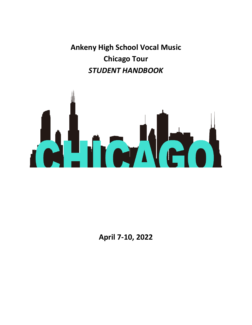**Ankeny High School Vocal Music Chicago Tour**  *STUDENT HANDBOOK*



**April 7-10, 2022**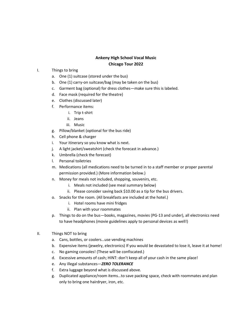## **Ankeny High School Vocal Music Chicago Tour 2022**

## I. Things to bring

- a. One (1) suitcase (stored under the bus)
- b. One (1) carry-on suitcase/bag (may be taken on the bus)
- c. Garment bag (optional) for dress clothes—make sure this is labeled.
- d. Face mask (required for the theatre)
- e. Clothes (discussed later)
- f. Performance items:
	- i. Trip t-shirt
	- ii. Jeans
	- iii. Music
- g. Pillow/blanket (optional for the bus ride)
- h. Cell phone & charger
- i. Your itinerary so you know what is next.
- j. A light jacket/sweatshirt (check the forecast in advance.)
- k. Umbrella (check the forecast)
- l. Personal toiletries
- m. Medications (all medications need to be turned in to a staff member or proper parental permission provided.) (More information below.)
- n. Money for meals not included, shopping, souvenirs, etc.
	- i. Meals not included (see meal summary below)
	- ii. Please consider saving back \$10.00 as a tip for the bus drivers.
- o. Snacks for the room. (All breakfasts are included at the hotel.)
	- i. Hotel rooms have mini fridges
	- ii. Plan with your roommates
- p. Things to do on the bus—books, magazines, movies (PG-13 and under), all electronics need to have headphones (movie guidelines apply to personal devices as well!)
- II. Things NOT to bring
	- a. Cans, bottles, or coolers…use vending machines
	- b. Expensive items (jewelry, electronics) If you would be devastated to lose it, leave it at home!
	- c. No gaming consoles! (These will be confiscated.)
	- d. Excessive amounts of cash; HINT: don't keep all of your cash in the same place!
	- e. Any illegal substances—*ZERO TOLERANCE*
	- f. Extra luggage beyond what is discussed above.
	- g. Duplicated appliance/room items…to save packing space, check with roommates and plan only to bring one hairdryer, iron, etc.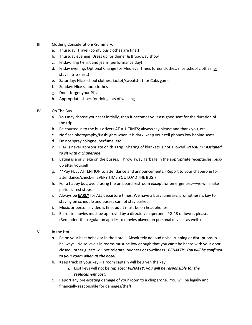- III. Clothing Considerations/Summary:
	- a. Thursday: Travel (comfy bus clothes are fine.)
	- b. Thursday evening: Dress up for dinner & Broadway show
	- c. Friday: Trip t-shirt and jeans (performance day)
	- d. Friday evening: Optional Change for Medieval Times (dress clothes, nice school clothes, or stay in trip shirt.)
	- e. Saturday: Nice school clothes; jacket/sweatshirt for Cubs game
	- f. Sunday: Nice school clothes
	- g. Don't forget your PJ's!
	- h. Appropriate shoes for doing lots of walking
- IV. On The Bus
	- a. You may choose your seat initially, then it becomes your assigned seat for the duration of the trip.
	- b. Be courteous to the bus drivers AT ALL TIMES; always say please and thank you, etc.
	- c. No flash photography/flashlights when it is dark; keep your cell phones low behind seats.
	- d. Do not spray cologne, perfume, etc.
	- *e.* PDA is never appropriate on this trip. Sharing of blankets is not allowed. *PENALTY: Assigned to sit with a chaperone.*
	- f. Eating is a privilege on the busses. Throw away garbage in the appropriate receptacles; pickup after yourself.
	- g. \*\*Pay FULL ATTENTION to attendance and announcements. (Report to your chaperone for attendance/check-in EVERY TIME YOU LOAD THE BUS!)
	- h. For a happy bus, avoid using the on board restroom except for emergencies—we will make periodic rest stops.
	- i. Always be **EARLY** for ALL departure times. We have a busy itinerary, promptness is key to staying on schedule and busses cannot stay parked.
	- j. Music or personal video is fine, but it must be on headphones.
	- k. En route movies must be approved by a director/chaperone. PG-13 or lower, please. (Reminder, this regulation applies to movies played on personal devices as well!)
- V. In the Hotel
	- *a.* Be on your best behavior in the hotel—Absolutely no loud noise, running or disruptions in hallways. Noise levels in rooms must be low enough that you can't be heard with your door closed.; other guests will not tolerate loudness or rowdiness. *PENALTY: You will be confined to your room when at the hotel.*
	- b. Keep track of your key—a room captain will be given the key.
		- *i.* Lost keys will not be replaced*; PENALTY: you will be responsible for the replacement cost.*
	- c. Report any pre-existing damage of your room to a chaperone. You will be legally and financially responsible for damages/theft.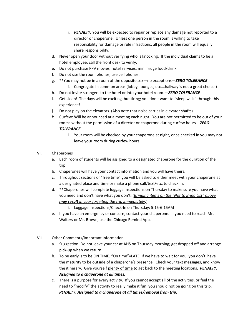- i. *PENALTY:* You will be expected to repair or replace any damage not reported to a director or chaperone. Unless one person in the room is willing to take responsibility for damage or rule infractions, all people in the room will equally share responsibility.
- d. Never open your door without verifying who is knocking. If the individual claims to be a hotel employee, call the front desk to verify.
- e. Do not purchase PPV movies, hotel services, mini fridge food/drink
- f. Do not use the room phones, use cell phones.
- g. \*\*You may not be in a room of the opposite sex—no exceptions—*ZERO TOLERANCE* i. Congregate in common areas (lobby, lounges, etc.…hallway is not a great choice.)
- h. Do not invite strangers to the hotel or into your hotel room.—*ZERO TOLERANCE*
- i. Get sleep! The days will be exciting, but tiring; you don't want to "sleep walk" through this experience!
- j. Do not play on the elevators. (Also note that noise carries in elevator shafts)
- *k.* Curfew: Will be announced at a meeting each night. You are not permitted to be out of your rooms without the permission of a director or chaperone during curfew hours—*ZERO TOLERANCE*
	- i. Your room will be checked by your chaperone at night, once checked in you may not leave your room during curfew hours.
- VI. Chaperones
	- a. Each room of students will be assigned to a designated chaperone for the duration of the trip.
	- b. Chaperones will have your contact information and you will have theirs.
	- c. Throughout sections of "free time" you will be asked to either meet with your chaperone at a designated place and time or make a phone call/text/etc. to check in.
	- d. \*\*Chaperones will complete luggage inspections on Thursday to make sure you have what you need and don't have what you don't. (*Bringing items on the "Not to Bring List" above may result in your forfeiting the trip immediately*.)
		- i. Luggage Inspections/Check-In on Thursday: 5:15-6:15AM
	- e. If you have an emergency or concern, contact your chaperone. If you need to reach Mr. Walters or Mr. Brown, use the Chicago Remind App.
- VII. Other Comments/Important Information
	- a. Suggestion: Do not leave your car at AHS on Thursday morning; get dropped off and arrange pick-up when we return.
	- b. To be early is to be ON TIME. "On time"=LATE. If we have to wait for you, you don't have the maturity to be outside of a chaperone's presence. Check your text messages, and know the itinerary. Give yourself plenty of time to get back to the meeting locations. *PENALTY: Assigned to a chaperone at all times.*
	- c. There is a purpose for every activity. If you cannot accept all of the activities, or feel the need to "modify" the activity to really make it fun, you should not be going on this trip. *PENALTY: Assigned to a chaperone at all times/removal from trip.*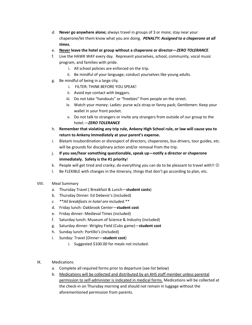- *d.* **Never go anywhere alone;** always travel in groups of 3 or more; stay near your chaperone/let them know what you are doing. *PENALTY: Assigned to a chaperone at all times.*
- e. **Never leave the hotel or group without a chaperone or director—***ZERO TOLERANCE*.
- f. Live the HAWK WAY every day. Represent yourselves, school, community, vocal music program, and families with pride.
	- i. All school policies are enforced on the trip.
	- ii. Be mindful of your language; conduct yourselves like young adults.
- g. Be mindful of being in a large city.
	- i. FILTER: THINK BEFORE YOU SPEAK!
	- ii. Avoid eye contact with beggars.
	- iii. Do not take "handouts" or "freebies" from people on the street.
	- iv. Watch your money: Ladies: purse w/a strap or fanny pack; Gentlemen: Keep your wallet in your front pocket.
	- v. Do not talk to strangers or invite any strangers from outside of our group to the hotel.—*ZERO TOLERANCE*
- h. **Remember that violating any trip rule, Ankeny High School rule, or law will cause you to return to Ankeny immediately at your parent's expense.**
- i. Blatant insubordination or disrespect of directors, chaperones, bus drivers, tour guides, etc. will be grounds for disciplinary action and/or removal from the trip.
- j. **If you see/hear something questionable, speak up—notify a director or chaperone immediately. Safety is the #1 priority**!
- k. People will get tired and cranky; do everything you can do to be pleasant to travel with!!  $\odot$
- l. Be FLEXIBLE with changes in the itinerary, things that don't go according to plan, etc.
- VIII. Meal Summary
	- a. Thursday Travel ( Breakfast & Lunch—**student costs**)
	- b. Thursday Dinner: Ed Debevic's (included)
	- *c. \*\*All breakfasts in hotel are included.\*\**
	- d. Friday lunch: Oakbrook Center—**student cost**
	- e. Friday dinner: Medieval Times (included)
	- f. Saturday lunch: Museum of Science & Industry (included)
	- g. Saturday dinner: Wrigley Field (Cubs game)—**student cost**
	- h. Sunday lunch: Portillo's (included)
	- i. Sunday: Travel (Dinner—**student cost**)
		- i. Suggested \$100.00 for meals not included.
- IX. Medications
	- a. Complete all required forms prior to departure (see list below)
	- b. Medications will be collected and distributed by an AHS staff member unless parental permission to self-administer is indicated in medical forms. Medications will be collected at the check-in on Thursday morning and should not remain in luggage without the aforementioned permission from parents.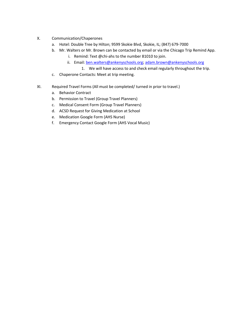- X. Communication/Chaperones
	- a. Hotel: Double Tree by Hilton; 9599 Skokie Blvd, Skokie, IL; (847) 679-7000
	- b. Mr. Walters or Mr. Brown can be contacted by email or via the Chicago Trip Remind App.
		- i. Remind: Text @chi-ahs to the number 81010 to join.
		- ii. Email[: ben.walters@ankenyschools.org;](mailto:ben.walters@ankenyschools.org) [adam.brown@ankenyschools.org](mailto:adam.brown@ankenyschools.org)
			- 1. We will have access to and check email regularly throughout the trip.
	- c. Chaperone Contacts: Meet at trip meeting.
- XI. Required Travel Forms (All must be completed/ turned in prior to travel.)
	- a. Behavior Contract
	- b. Permission to Travel (Group Travel Planners)
	- c. Medical Consent Form (Group Travel Planners)
	- d. ACSD Request for Giving Medication at School
	- e. Medication Google Form (AHS Nurse)
	- f. Emergency Contact Google Form (AHS Vocal Music)